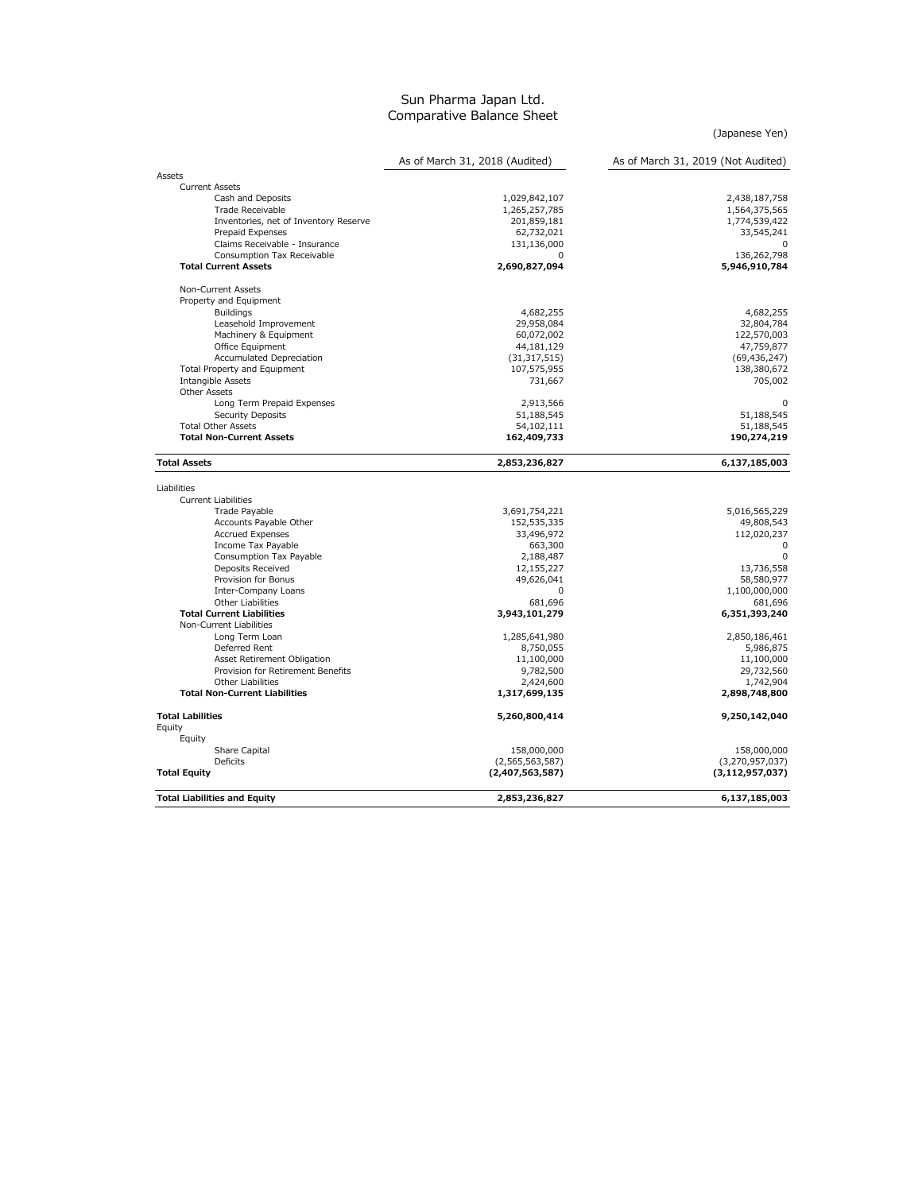## Sun Pharma Japan Ltd. Comparative Balance Sheet

(Japanese Yen)

|                                       | As of March 31, 2018 (Audited) | As of March 31, 2019 (Not Audited) |  |
|---------------------------------------|--------------------------------|------------------------------------|--|
| Assets                                |                                |                                    |  |
| <b>Current Assets</b>                 |                                |                                    |  |
| Cash and Deposits                     | 1,029,842,107                  | 2,438,187,758                      |  |
| Trade Receivable                      | 1,265,257,785                  | 1,564,375,565                      |  |
| Inventories, net of Inventory Reserve | 201,859,181                    | 1,774,539,422                      |  |
| Prepaid Expenses                      | 62,732,021                     | 33,545,241                         |  |
| Claims Receivable - Insurance         | 131,136,000                    | n                                  |  |
| Consumption Tax Receivable            | $\Omega$                       | 136,262,798                        |  |
| <b>Total Current Assets</b>           | 2,690,827,094                  | 5,946,910,784                      |  |
| Non-Current Assets                    |                                |                                    |  |
| Property and Equipment                |                                |                                    |  |
| <b>Buildings</b>                      | 4,682,255                      | 4,682,255                          |  |
| Leasehold Improvement                 | 29,958,084                     | 32,804,784                         |  |
| Machinery & Equipment                 | 60,072,002                     | 122,570,003                        |  |
| Office Equipment                      | 44,181,129                     | 47,759,877                         |  |
| Accumulated Depreciation              | (31, 317, 515)                 | (69, 436, 247)                     |  |
| Total Property and Equipment          | 107,575,955                    | 138,380,672                        |  |
| Intangible Assets                     | 731,667                        | 705,002                            |  |
| Other Assets                          |                                |                                    |  |
| Long Term Prepaid Expenses            | 2,913,566                      | $\mathbf 0$                        |  |
| Security Deposits                     | 51,188,545                     | 51,188,545                         |  |
| <b>Total Other Assets</b>             | 54,102,111                     | 51,188,545                         |  |
| <b>Total Non-Current Assets</b>       | 162,409,733                    | 190,274,219                        |  |
| <b>Total Assets</b>                   | 2,853,236,827                  | 6,137,185,003                      |  |
| Liabilities                           |                                |                                    |  |
| <b>Current Liabilities</b>            |                                |                                    |  |
| Trade Payable                         | 3,691,754,221                  | 5,016,565,229                      |  |
| Accounts Payable Other                | 152,535,335                    | 49,808,543                         |  |
| <b>Accrued Expenses</b>               | 33,496,972                     | 112,020,237                        |  |
| Income Tax Payable                    | 663,300                        | 0                                  |  |
| Consumption Tax Payable               | 2,188,487                      | $\Omega$                           |  |
| Deposits Received                     | 12,155,227                     | 13,736,558                         |  |
| Provision for Bonus                   | 49,626,041                     | 58,580,977                         |  |
| Inter-Company Loans                   | 0                              | 1,100,000,000                      |  |
| Other Liabilities                     | 681,696                        | 681,696                            |  |
| <b>Total Current Liabilities</b>      | 3,943,101,279                  | 6,351,393,240                      |  |
| Non-Current Liabilities               |                                |                                    |  |
| Long Term Loan                        | 1,285,641,980                  | 2,850,186,461                      |  |
| Deferred Rent                         | 8,750,055                      | 5,986,875                          |  |
| Asset Retirement Obligation           | 11,100,000                     | 11,100,000                         |  |
| Provision for Retirement Benefits     | 9,782,500                      | 29,732,560                         |  |
| <b>Other Liabilities</b>              | 2,424,600                      | 1,742,904                          |  |
| <b>Total Non-Current Liabilities</b>  | 1,317,699,135                  | 2,898,748,800                      |  |
| <b>Total Labilities</b>               | 5,260,800,414                  | 9,250,142,040                      |  |
| Equity                                |                                |                                    |  |
| Equity                                |                                |                                    |  |
| Share Capital                         | 158,000,000                    | 158,000,000                        |  |
| Deficits                              | (2,565,563,587)                | (3,270,957,037)                    |  |
| <b>Total Equity</b>                   | (2,407,563,587)                | (3, 112, 957, 037)                 |  |
| <b>Total Liabilities and Equity</b>   | 2,853,236,827                  | 6.137.185.003                      |  |